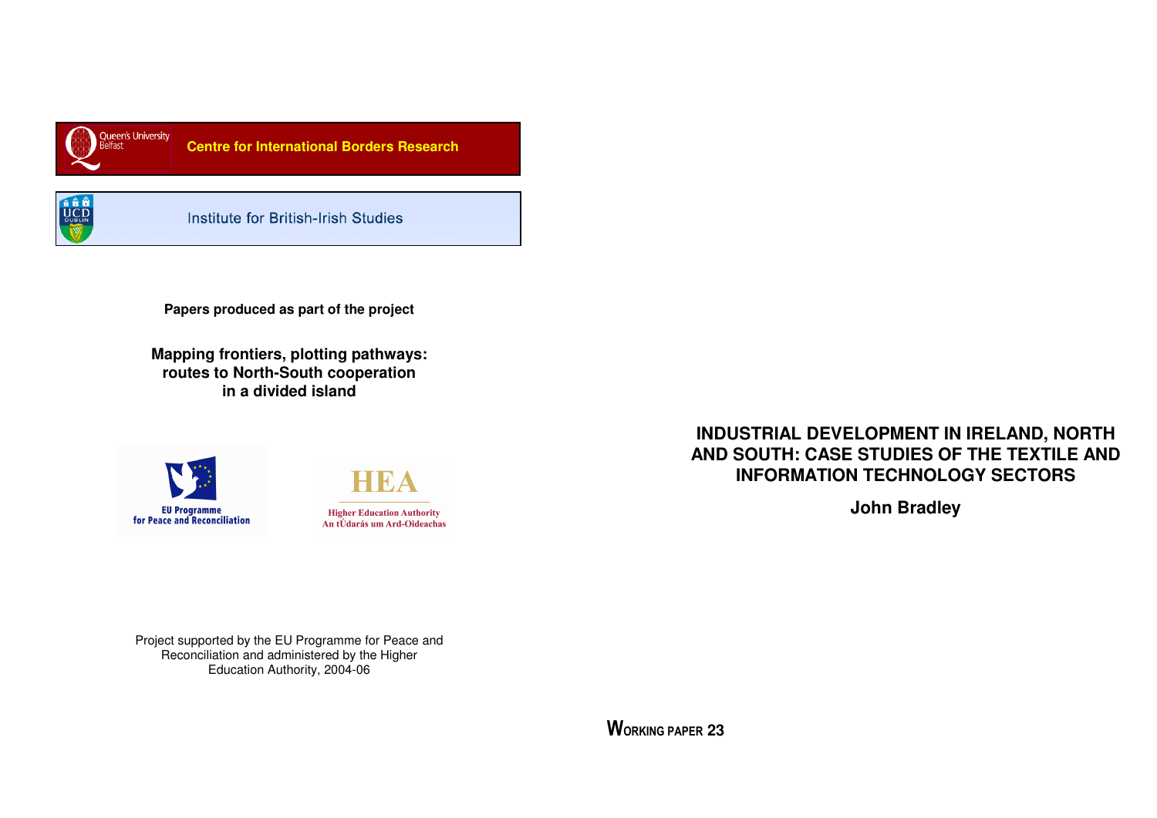

 **Centre for International Borders Research** 



Institute for British-Irish Studies

**Papers produced as part of the project** 

**Mapping frontiers, plotting pathways: routes to North-South cooperation in a divided island** 





**INDUSTRIAL DEVELOPMENT IN IRELAND, NORTH AND SOUTH: CASE STUDIES OF THE TEXTILE AND INFORMATION TECHNOLOGY SECTORS** 

**John Bradley** 

Project supported by the EU Programme for Peace and Reconciliation and administered by the Higher Education Authority, 2004-06

WORKING PAPER **23**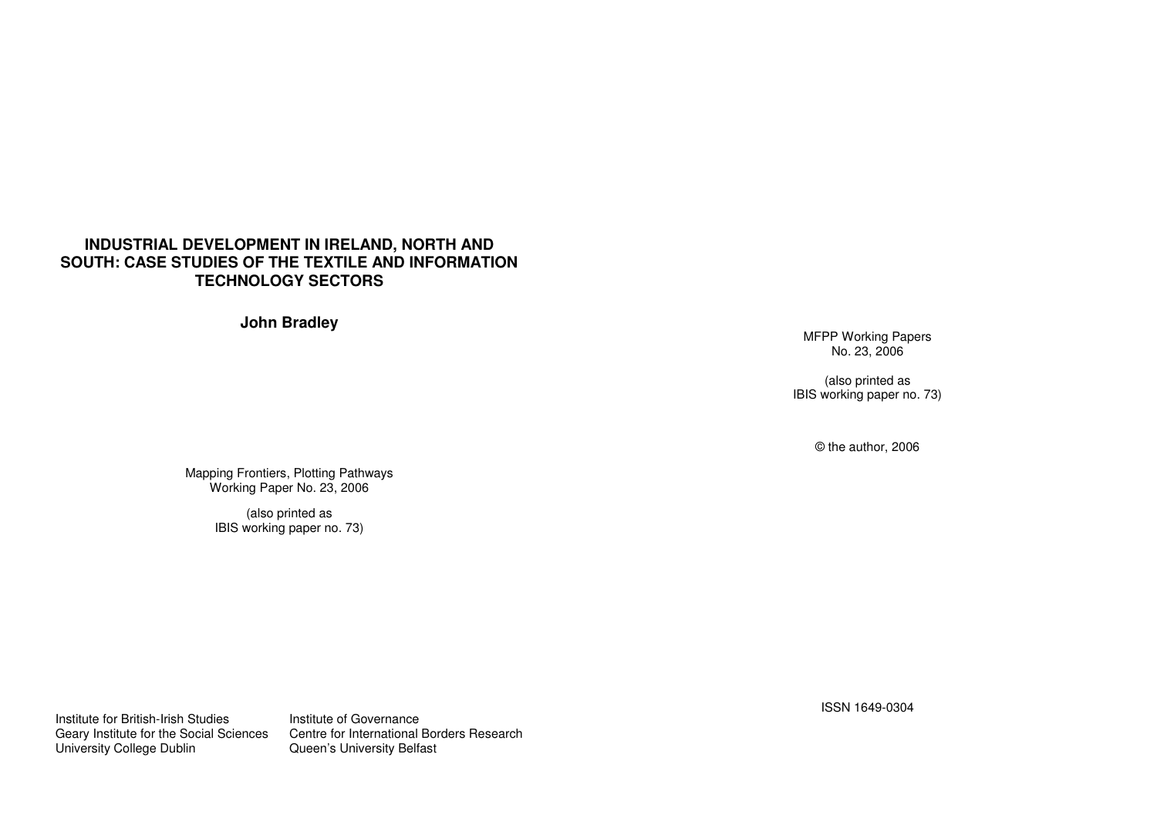# **INDUSTRIAL DEVELOPMENT IN IRELAND, NORTH AND SOUTH: CASE STUDIES OF THE TEXTILE AND INFORMATION TECHNOLOGY SECTORS**

**John Bradley** 

MFPP Working Papers No. 23, 2006

(also printed as IBIS working paper no. 73)

© the author, 2006

Mapping Frontiers, Plotting Pathways Working Paper No. 23, 2006

(also printed as IBIS working paper no. 73)

Institute for British-Irish Studies **Institute of Governance** University College Dublin Queen's University Belfast

Geary Institute for the Social Sciences Centre for International Borders Research

ISSN 1649-0304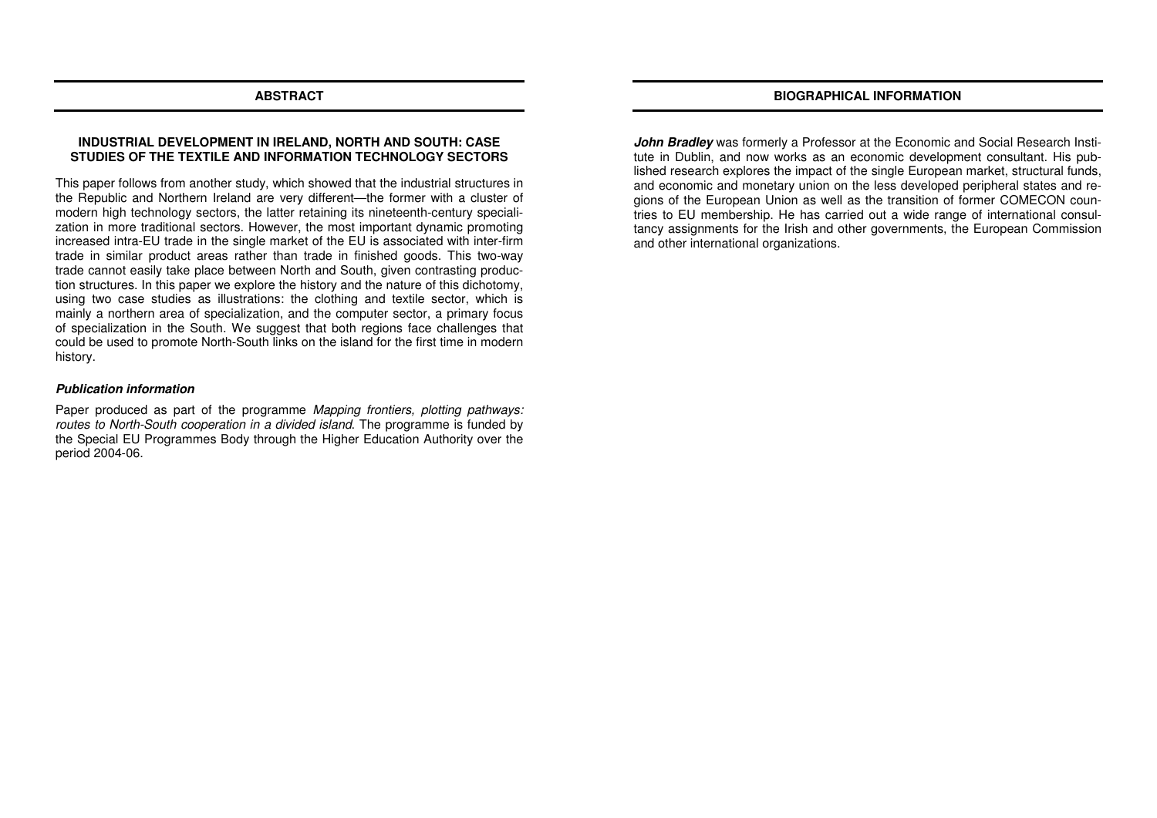### **BIOGRAPHICAL INFORMATION**

### **ABSTRACT**

# **INDUSTRIAL DEVELOPMENT IN IRELAND, NORTH AND SOUTH: CASE STUDIES OF THE TEXTILE AND INFORMATION TECHNOLOGY SECTORS**

This paper follows from another study, which showed that the industrial structures in the Republic and Northern Ireland are very different—the former with a cluster of modern high technology sectors, the latter retaining its nineteenth-century specialization in more traditional sectors. However, the most important dynamic promoting increased intra-EU trade in the single market of the EU is associated with inter-firm trade in similar product areas rather than trade in finished goods. This two-way trade cannot easily take place between North and South, given contrasting production structures. In this paper we explore the history and the nature of this dichotomy, using two case studies as illustrations: the clothing and textile sector, which is mainly a northern area of specialization, and the computer sector, a primary focus of specialization in the South. We suggest that both regions face challenges that could be used to promote North-South links on the island for the first time in modern history.

### **Publication information**

Paper produced as part of the programme Mapping frontiers, plotting pathways: routes to North-South cooperation in a divided island. The programme is funded by the Special EU Programmes Body through the Higher Education Authority over the period 2004-06.

**John Bradley** was formerly a Professor at the Economic and Social Research Institute in Dublin, and now works as an economic development consultant. His published research explores the impact of the single European market, structural funds, and economic and monetary union on the less developed peripheral states and regions of the European Union as well as the transition of former COMECON countries to EU membership. He has carried out a wide range of international consultancy assignments for the Irish and other governments, the European Commission and other international organizations.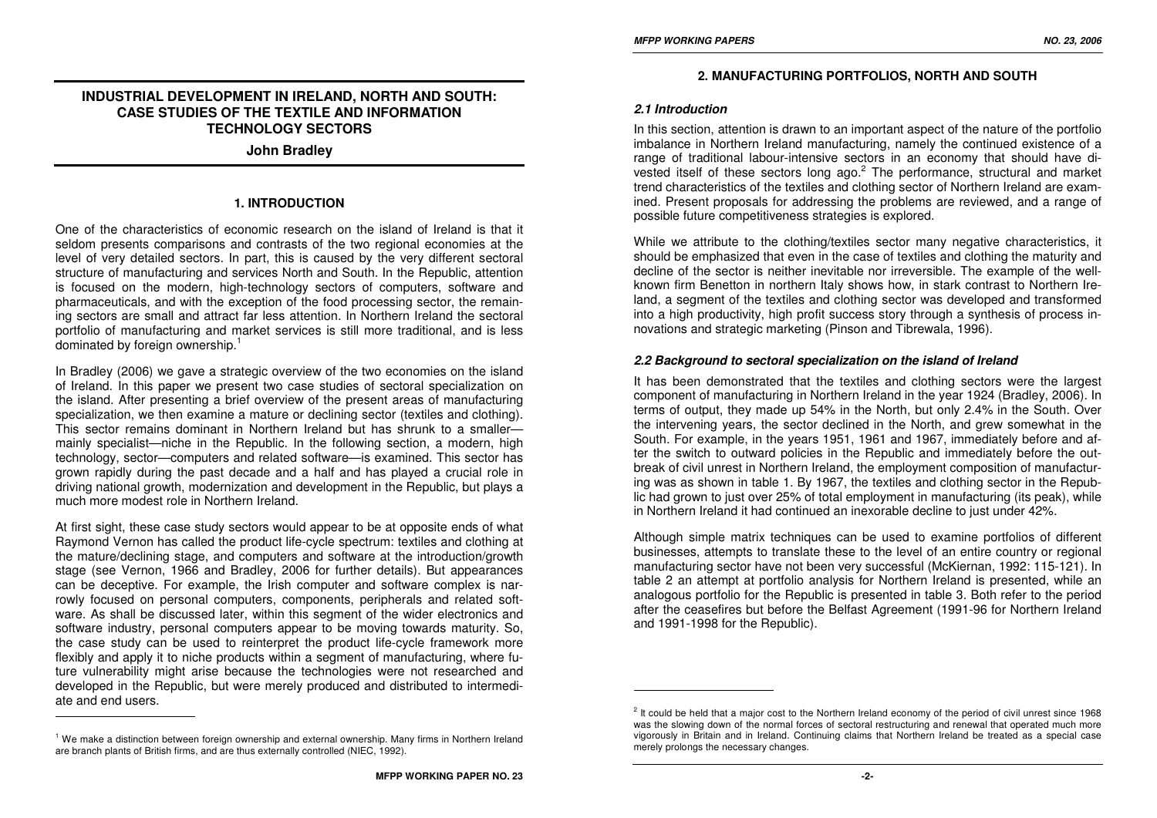# **INDUSTRIAL DEVELOPMENT IN IRELAND, NORTH AND SOUTH:CASE STUDIES OF THE TEXTILE AND INFORMATION TECHNOLOGY SECTORS**

**John Bradley** 

# **1. INTRODUCTION**

One of the characteristics of economic research on the island of Ireland is that it seldom presents comparisons and contrasts of the two regional economies at the level of very detailed sectors. In part, this is caused by the very different sectoral structure of manufacturing and services North and South. In the Republic, attention is focused on the modern, high-technology sectors of computers, software and pharmaceuticals, and with the exception of the food processing sector, the remaining sectors are small and attract far less attention. In Northern Ireland the sectoral portfolio of manufacturing and market services is still more traditional, and is less dominated by foreign ownership.<sup>1</sup>

In Bradley (2006) we gave a strategic overview of the two economies on the island of Ireland. In this paper we present two case studies of sectoral specialization on the island. After presenting a brief overview of the present areas of manufacturing specialization, we then examine a mature or declining sector (textiles and clothing). This sector remains dominant in Northern Ireland but has shrunk to a smaller mainly specialist—niche in the Republic. In the following section, a modern, high technology, sector—computers and related software—is examined. This sector has grown rapidly during the past decade and a half and has played a crucial role in driving national growth, modernization and development in the Republic, but plays a much more modest role in Northern Ireland.

At first sight, these case study sectors would appear to be at opposite ends of what Raymond Vernon has called the product life-cycle spectrum: textiles and clothing at the mature/declining stage, and computers and software at the introduction/growth stage (see Vernon, 1966 and Bradley, 2006 for further details). But appearances can be deceptive. For example, the Irish computer and software complex is narrowly focused on personal computers, components, peripherals and related software. As shall be discussed later, within this segment of the wider electronics and software industry, personal computers appear to be moving towards maturity. So, the case study can be used to reinterpret the product life-cycle framework more flexibly and apply it to niche products within a segment of manufacturing, where future vulnerability might arise because the technologies were not researched and developed in the Republic, but were merely produced and distributed to intermediate and end users.

### **2. MANUFACTURING PORTFOLIOS, NORTH AND SOUTH**

#### **2.1 Introduction**

In this section, attention is drawn to an important aspect of the nature of the portfolio imbalance in Northern Ireland manufacturing, namely the continued existence of a range of traditional labour-intensive sectors in an economy that should have divested itself of these sectors long ago. $<sup>2</sup>$  The performance, structural and market</sup> trend characteristics of the textiles and clothing sector of Northern Ireland are examined. Present proposals for addressing the problems are reviewed, and a range of possible future competitiveness strategies is explored.

While we attribute to the clothing/textiles sector many negative characteristics, it should be emphasized that even in the case of textiles and clothing the maturity and decline of the sector is neither inevitable nor irreversible. The example of the wellknown firm Benetton in northern Italy shows how, in stark contrast to Northern Ireland, a segment of the textiles and clothing sector was developed and transformed into a high productivity, high profit success story through a synthesis of process innovations and strategic marketing (Pinson and Tibrewala, 1996).

#### **2.2 Background to sectoral specialization on the island of Ireland**

It has been demonstrated that the textiles and clothing sectors were the largest component of manufacturing in Northern Ireland in the year 1924 (Bradley, 2006). In terms of output, they made up 54% in the North, but only 2.4% in the South. Over the intervening years, the sector declined in the North, and grew somewhat in the South. For example, in the years 1951, 1961 and 1967, immediately before and after the switch to outward policies in the Republic and immediately before the outbreak of civil unrest in Northern Ireland, the employment composition of manufacturing was as shown in table 1. By 1967, the textiles and clothing sector in the Republic had grown to just over 25% of total employment in manufacturing (its peak), while in Northern Ireland it had continued an inexorable decline to just under 42%.

Although simple matrix techniques can be used to examine portfolios of different businesses, attempts to translate these to the level of an entire country or regional manufacturing sector have not been very successful (McKiernan, 1992: 115-121). In table 2 an attempt at portfolio analysis for Northern Ireland is presented, while an analogous portfolio for the Republic is presented in table 3. Both refer to the period after the ceasefires but before the Belfast Agreement (1991-96 for Northern Ireland and 1991-1998 for the Republic).

<sup>&</sup>lt;sup>1</sup> We make a distinction between foreign ownership and external ownership. Many firms in Northern Ireland are branch plants of British firms, and are thus externally controlled (NIEC, 1992).

<sup>&</sup>lt;sup>2</sup> It could be held that a maior cost to the Northern Ireland economy of the period of civil unrest since 1968 was the slowing down of the normal forces of sectoral restructuring and renewal that operated much more vigorously in Britain and in Ireland. Continuing claims that Northern Ireland be treated as a special case merely prolongs the necessary changes.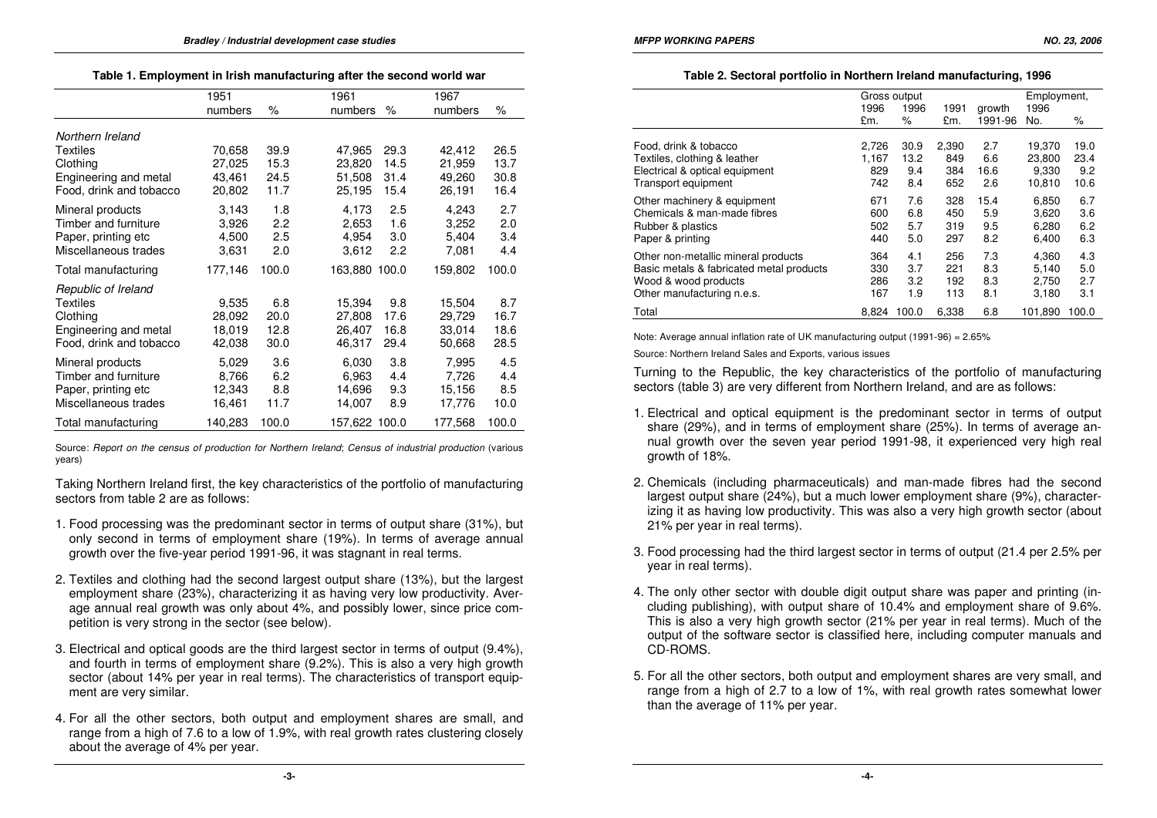|  |  | Table 1. Employment in Irish manufacturing after the second world war |  |  |
|--|--|-----------------------------------------------------------------------|--|--|
|--|--|-----------------------------------------------------------------------|--|--|

| 1951    |       |     | 1961   |      | 1967                                             |       |
|---------|-------|-----|--------|------|--------------------------------------------------|-------|
| numbers | %     |     |        | %    | numbers                                          | %     |
|         |       |     |        |      |                                                  |       |
| 70,658  | 39.9  |     | 47,965 | 29.3 | 42,412                                           | 26.5  |
| 27,025  | 15.3  |     | 23,820 | 14.5 | 21,959                                           | 13.7  |
| 43,461  | 24.5  |     | 51,508 | 31.4 | 49,260                                           | 30.8  |
| 20,802  | 11.7  |     | 25,195 | 15.4 | 26,191                                           | 16.4  |
| 3,143   | 1.8   |     | 4,173  | 2.5  | 4,243                                            | 2.7   |
| 3,926   |       |     | 2,653  |      | 3,252                                            | 2.0   |
| 4,500   | 2.5   |     | 4,954  | 3.0  | 5,404                                            | 3.4   |
| 3,631   | 2.0   |     | 3,612  | 2.2  | 7,081                                            | 4.4   |
| 177,146 | 100.0 |     |        |      | 159,802                                          | 100.0 |
|         |       |     |        |      |                                                  |       |
| 9,535   | 6.8   |     | 15,394 | 9.8  | 15,504                                           | 8.7   |
| 28,092  | 20.0  |     | 27,808 | 17.6 | 29,729                                           | 16.7  |
| 18,019  | 12.8  |     | 26,407 | 16.8 | 33,014                                           | 18.6  |
| 42,038  | 30.0  |     | 46,317 | 29.4 | 50,668                                           | 28.5  |
| 5,029   | 3.6   |     | 6,030  | 3.8  | 7,995                                            | 4.5   |
| 8,766   | 6.2   |     | 6,963  | 4.4  | 7,726                                            | 4.4   |
| 12,343  | 8.8   |     | 14,696 | 9.3  | 15,156                                           | 8.5   |
| 16,461  | 11.7  |     | 14,007 | 8.9  | 17,776                                           | 10.0  |
| 140,283 | 100.0 |     |        |      | 177,568                                          | 100.0 |
|         |       | 2.2 |        |      | numbers<br>1.6<br>163,880 100.0<br>157,622 100.0 |       |

Source: Report on the census of production for Northern Ireland; Census of industrial production (various years)

Taking Northern Ireland first, the key characteristics of the portfolio of manufacturing sectors from table 2 are as follows:

- 1. Food processing was the predominant sector in terms of output share (31%), but only second in terms of employment share (19%). In terms of average annual growth over the five-year period 1991-96, it was stagnant in real terms.
- 2. Textiles and clothing had the second largest output share (13%), but the largest employment share (23%), characterizing it as having very low productivity. Average annual real growth was only about 4%, and possibly lower, since price competition is very strong in the sector (see below).
- 3. Electrical and optical goods are the third largest sector in terms of output (9.4%), and fourth in terms of employment share (9.2%). This is also a very high growth sector (about 14% per year in real terms). The characteristics of transport equipment are very similar.
- 4. For all the other sectors, both output and employment shares are small, and range from a high of 7.6 to a low of 1.9%, with real growth rates clustering closely about the average of 4% per year.

#### **Table 2. Sectoral portfolio in Northern Ireland manufacturing, 1996**

|                                          | Gross output<br>1996<br>1996<br>1991<br>growth |       |       | Employment,<br>1996 |         |       |
|------------------------------------------|------------------------------------------------|-------|-------|---------------------|---------|-------|
|                                          | £m.                                            | %     | £m.   | 1991-96             | No.     | %     |
| Food, drink & tobacco                    | 2,726                                          | 30.9  | 2,390 | 2.7                 | 19.370  | 19.0  |
| Textiles, clothing & leather             | 1,167                                          | 13.2  | 849   | 6.6                 | 23,800  | 23.4  |
| Electrical & optical equipment           | 829                                            | 9.4   | 384   | 16.6                | 9,330   | 9.2   |
| Transport equipment                      | 742                                            | 8.4   | 652   | 2.6                 | 10,810  | 10.6  |
| Other machinery & equipment              | 671                                            | 7.6   | 328   | 15.4                | 6,850   | 6.7   |
| Chemicals & man-made fibres              | 600                                            | 6.8   | 450   | 5.9                 | 3,620   | 3.6   |
| Rubber & plastics                        | 502                                            | 5.7   | 319   | 9.5                 | 6,280   | 6.2   |
| Paper & printing                         | 440                                            | 5.0   | 297   | 8.2                 | 6,400   | 6.3   |
| Other non-metallic mineral products      | 364                                            | 4.1   | 256   | 7.3                 | 4,360   | 4.3   |
| Basic metals & fabricated metal products | 330                                            | 3.7   | 221   | 8.3                 | 5.140   | 5.0   |
| Wood & wood products                     | 286                                            | 3.2   | 192   | 8.3                 | 2,750   | 2.7   |
| Other manufacturing n.e.s.               | 167                                            | 1.9   | 113   | 8.1                 | 3,180   | 3.1   |
| Total                                    | 8.824                                          | 100.0 | 6,338 | 6.8                 | 101.890 | 100.0 |

Note: Average annual inflation rate of UK manufacturing output (1991-96) = 2.65%

Source: Northern Ireland Sales and Exports, various issues

Turning to the Republic, the key characteristics of the portfolio of manufacturing sectors (table 3) are very different from Northern Ireland, and are as follows:

- 1. Electrical and optical equipment is the predominant sector in terms of output share (29%), and in terms of employment share (25%). In terms of average annual growth over the seven year period 1991-98, it experienced very high real growth of 18%.
- 2. Chemicals (including pharmaceuticals) and man-made fibres had the second largest output share (24%), but a much lower employment share (9%), characterizing it as having low productivity. This was also a very high growth sector (about 21% per year in real terms).
- 3. Food processing had the third largest sector in terms of output (21.4 per 2.5% per year in real terms).
- 4. The only other sector with double digit output share was paper and printing (including publishing), with output share of 10.4% and employment share of 9.6%. This is also a very high growth sector (21% per year in real terms). Much of the output of the software sector is classified here, including computer manuals and CD-ROMS.
- 5. For all the other sectors, both output and employment shares are very small, and range from a high of 2.7 to a low of 1%, with real growth rates somewhat lower than the average of 11% per year.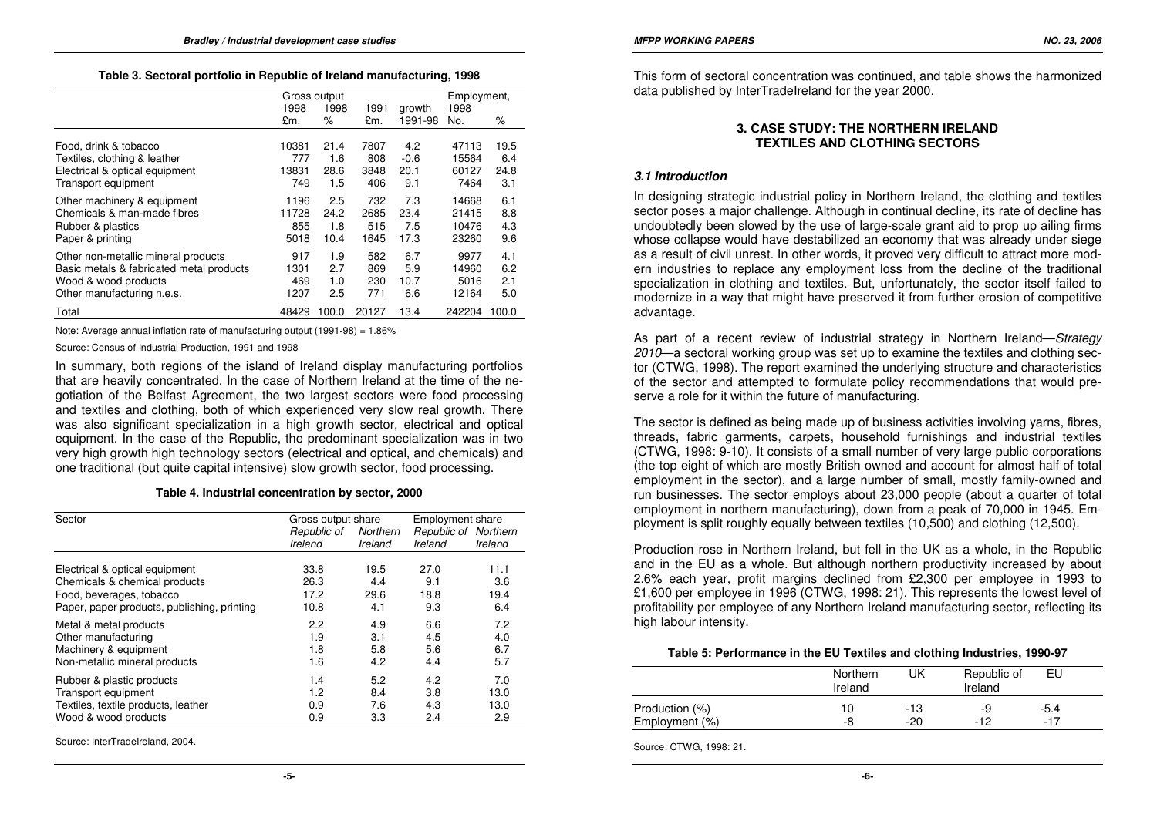|                                          | Gross output |              |       | Employment, |        |       |
|------------------------------------------|--------------|--------------|-------|-------------|--------|-------|
|                                          | 1998         | 1998<br>1991 |       | growth      | 1998   |       |
|                                          | £m.          | %            | £m.   | 1991-98     | No.    | %     |
| Food, drink & tobacco                    | 10381        | 21.4         | 7807  | 4.2         | 47113  | 19.5  |
| Textiles, clothing & leather             | 777          | 1.6          | 808   | $-0.6$      | 15564  | 6.4   |
| Electrical & optical equipment           | 13831        | 28.6         | 3848  | 20.1        | 60127  | 24.8  |
| Transport equipment                      | 749          | 1.5          | 406   | 9.1         | 7464   | 3.1   |
| Other machinery & equipment              | 1196         | 2.5          | 732   | 7.3         | 14668  | 6.1   |
| Chemicals & man-made fibres              | 11728        | 24.2         | 2685  | 23.4        | 21415  | 8.8   |
| Rubber & plastics                        | 855          | 1.8          | 515   | 7.5         | 10476  | 4.3   |
| Paper & printing                         | 5018         | 10.4         | 1645  | 17.3        | 23260  | 9.6   |
| Other non-metallic mineral products      | 917          | 1.9          | 582   | 6.7         | 9977   | 4.1   |
| Basic metals & fabricated metal products | 1301         | 2.7          | 869   | 5.9         | 14960  | 6.2   |
| Wood & wood products                     | 469          | 1.0          | 230   | 10.7        | 5016   | 2.1   |
| Other manufacturing n.e.s.               | 1207         | 2.5          | 771   | 6.6         | 12164  | 5.0   |
| Total                                    | 48429        | 100.0        | 20127 | 13.4        | 242204 | 100.0 |

Note: Average annual inflation rate of manufacturing output (1991-98) = 1.86%

Source: Census of Industrial Production, 1991 and 1998

In summary, both regions of the island of Ireland display manufacturing portfolios that are heavily concentrated. In the case of Northern Ireland at the time of the negotiation of the Belfast Agreement, the two largest sectors were food processing and textiles and clothing, both of which experienced very slow real growth. There was also significant specialization in a high growth sector, electrical and optical equipment. In the case of the Republic, the predominant specialization was in two very high growth high technology sectors (electrical and optical, and chemicals) and one traditional (but quite capital intensive) slow growth sector, food processing.

#### **Table 4. Industrial concentration by sector, 2000**

| Sector                                      |                        | Gross output share  |                                 | <b>Employment share</b> |
|---------------------------------------------|------------------------|---------------------|---------------------------------|-------------------------|
|                                             | Republic of<br>Ireland | Northern<br>Ireland | Republic of Northern<br>Ireland | Ireland                 |
| Electrical & optical equipment              | 33.8                   | 19.5                | 27.0                            | 11.1                    |
| Chemicals & chemical products               | 26.3                   | 4.4                 | 9.1                             | 3.6                     |
| Food, beverages, tobacco                    | 17.2                   | 29.6                | 18.8                            | 19.4                    |
| Paper, paper products, publishing, printing | 10.8                   | 4.1                 | 9.3                             | 6.4                     |
| Metal & metal products                      | 2.2                    | 4.9                 | 6.6                             | 7.2                     |
| Other manufacturing                         | 1.9                    | 3.1                 | 4.5                             | 4.0                     |
| Machinery & equipment                       | 1.8                    | 5.8                 | 5.6                             | 6.7                     |
| Non-metallic mineral products               | 1.6                    | 4.2                 | 4.4                             | 5.7                     |
| Rubber & plastic products                   | 1.4                    | 5.2                 | 4.2                             | 7.0                     |
| Transport equipment                         | 1.2                    | 8.4                 | 3.8                             | 13.0                    |
| Textiles, textile products, leather         | 0.9                    | 7.6                 | 4.3                             | 13.0                    |
| Wood & wood products                        | 0.9                    | 3.3                 | 2.4                             | 2.9                     |

Source: InterTradeIreland, 2004.

This form of sectoral concentration was continued, and table shows the harmonized data published by InterTradeIreland for the year 2000.

### **3. CASE STUDY: THE NORTHERN IRELAND TEXTILES AND CLOTHING SECTORS**

#### **3.1 Introduction**

In designing strategic industrial policy in Northern Ireland, the clothing and textiles sector poses a major challenge. Although in continual decline, its rate of decline has undoubtedly been slowed by the use of large-scale grant aid to prop up ailing firms whose collapse would have destabilized an economy that was already under siege as a result of civil unrest. In other words, it proved very difficult to attract more modern industries to replace any employment loss from the decline of the traditional specialization in clothing and textiles. But, unfortunately, the sector itself failed to modernize in a way that might have preserved it from further erosion of competitive advantage.

As part of a recent review of industrial strategy in Northern Ireland—Strategy 2010—a sectoral working group was set up to examine the textiles and clothing sector (CTWG, 1998). The report examined the underlying structure and characteristics of the sector and attempted to formulate policy recommendations that would preserve a role for it within the future of manufacturing.

The sector is defined as being made up of business activities involving yarns, fibres, threads, fabric garments, carpets, household furnishings and industrial textiles (CTWG, 1998: 9-10). It consists of a small number of very large public corporations (the top eight of which are mostly British owned and account for almost half of total employment in the sector), and a large number of small, mostly family-owned and run businesses. The sector employs about 23,000 people (about a quarter of total employment in northern manufacturing), down from a peak of 70,000 in 1945. Employment is split roughly equally between textiles (10,500) and clothing (12,500).

Production rose in Northern Ireland, but fell in the UK as a whole, in the Republic and in the EU as a whole. But although northern productivity increased by about 2.6% each year, profit margins declined from £2,300 per employee in 1993 to £1,600 per employee in 1996 (CTWG, 1998: 21). This represents the lowest level of profitability per employee of any Northern Ireland manufacturing sector, reflecting its high labour intensity.

#### **Table 5: Performance in the EU Textiles and clothing Industries, 1990-97**

|                | Northern<br>Ireland | UK  | Republic of<br>Ireland | EU     |
|----------------|---------------------|-----|------------------------|--------|
| Production (%) | 10                  | -13 | -9                     | $-5.4$ |
| Employment (%) | -8                  | -20 | $-12$                  | $-17$  |

Source: CTWG, 1998: 21.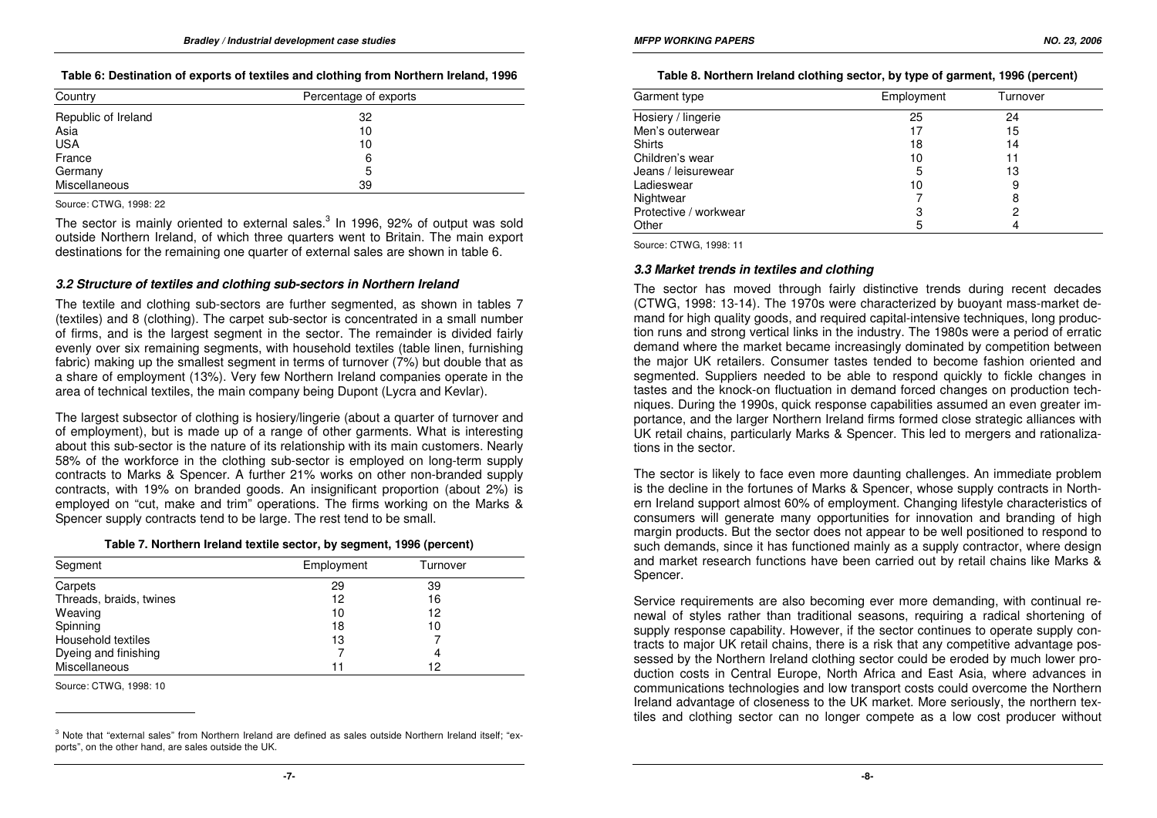### **Table 6: Destination of exports of textiles and clothing from Northern Ireland, 1996**

| Country             | Percentage of exports |
|---------------------|-----------------------|
| Republic of Ireland | 32                    |
| Asia                | 10                    |
| <b>USA</b>          | 10                    |
| France              | 6                     |
| Germany             | 5                     |
| Miscellaneous       | 39                    |

Source: CTWG, 1998: 22

The sector is mainly oriented to external sales. $3$  In 1996, 92% of output was sold outside Northern Ireland, of which three quarters went to Britain. The main export destinations for the remaining one quarter of external sales are shown in table 6.

### **3.2 Structure of textiles and clothing sub-sectors in Northern Ireland**

The textile and clothing sub-sectors are further segmented, as shown in tables 7 (textiles) and 8 (clothing). The carpet sub-sector is concentrated in a small number of firms, and is the largest segment in the sector. The remainder is divided fairly evenly over six remaining segments, with household textiles (table linen, furnishing fabric) making up the smallest segment in terms of turnover (7%) but double that as a share of employment (13%). Very few Northern Ireland companies operate in the area of technical textiles, the main company being Dupont (Lycra and Kevlar).

The largest subsector of clothing is hosiery/lingerie (about a quarter of turnover and of employment), but is made up of a range of other garments. What is interesting about this sub-sector is the nature of its relationship with its main customers. Nearly 58% of the workforce in the clothing sub-sector is employed on long-term supply contracts to Marks & Spencer. A further 21% works on other non-branded supply contracts, with 19% on branded goods. An insignificant proportion (about 2%) is employed on "cut, make and trim" operations. The firms working on the Marks & Spencer supply contracts tend to be large. The rest tend to be small.

#### **Table 7. Northern Ireland textile sector, by segment, 1996 (percent)**

| Segment                 | Employment | Turnover |  |
|-------------------------|------------|----------|--|
| Carpets                 | 29         | 39       |  |
| Threads, braids, twines | 12         | 16       |  |
| Weaving                 | 10         | 12       |  |
| Spinning                | 18         | 10       |  |
| Household textiles      | 13         |          |  |
| Dyeing and finishing    |            | 4        |  |
| Miscellaneous           | 11         | 12       |  |

Source: CTWG, 1998: 10

| Garment type          | Employment | Turnover |  |
|-----------------------|------------|----------|--|
| Hosiery / lingerie    | 25         | 24       |  |
| Men's outerwear       | 17         | 15       |  |
| <b>Shirts</b>         | 18         | 14       |  |
| Children's wear       | 10         | 11       |  |
| Jeans / leisurewear   | 5          | 13       |  |
| Ladieswear            | 10         | 9        |  |
| Nightwear             |            | 8        |  |
| Protective / workwear | 3          | 2        |  |
| Other                 | 5          |          |  |

Source: CTWG, 1998: 11

# **3.3 Market trends in textiles and clothing**

The sector has moved through fairly distinctive trends during recent decades (CTWG, 1998: 13-14). The 1970s were characterized by buoyant mass-market demand for high quality goods, and required capital-intensive techniques, long production runs and strong vertical links in the industry. The 1980s were a period of erratic demand where the market became increasingly dominated by competition between the major UK retailers. Consumer tastes tended to become fashion oriented and segmented. Suppliers needed to be able to respond quickly to fickle changes in tastes and the knock-on fluctuation in demand forced changes on production techniques. During the 1990s, quick response capabilities assumed an even greater importance, and the larger Northern Ireland firms formed close strategic alliances with UK retail chains, particularly Marks & Spencer. This led to mergers and rationalizations in the sector.

The sector is likely to face even more daunting challenges. An immediate problem is the decline in the fortunes of Marks & Spencer, whose supply contracts in Northern Ireland support almost 60% of employment. Changing lifestyle characteristics of consumers will generate many opportunities for innovation and branding of high margin products. But the sector does not appear to be well positioned to respond to such demands, since it has functioned mainly as a supply contractor, where design and market research functions have been carried out by retail chains like Marks & Spencer.

Service requirements are also becoming ever more demanding, with continual renewal of styles rather than traditional seasons, requiring a radical shortening of supply response capability. However, if the sector continues to operate supply contracts to major UK retail chains, there is a risk that any competitive advantage possessed by the Northern Ireland clothing sector could be eroded by much lower production costs in Central Europe, North Africa and East Asia, where advances in communications technologies and low transport costs could overcome the Northern Ireland advantage of closeness to the UK market. More seriously, the northern textiles and clothing sector can no longer compete as a low cost producer without

<sup>&</sup>lt;sup>3</sup> Note that "external sales" from Northern Ireland are defined as sales outside Northern Ireland itself; "exports", on the other hand, are sales outside the UK.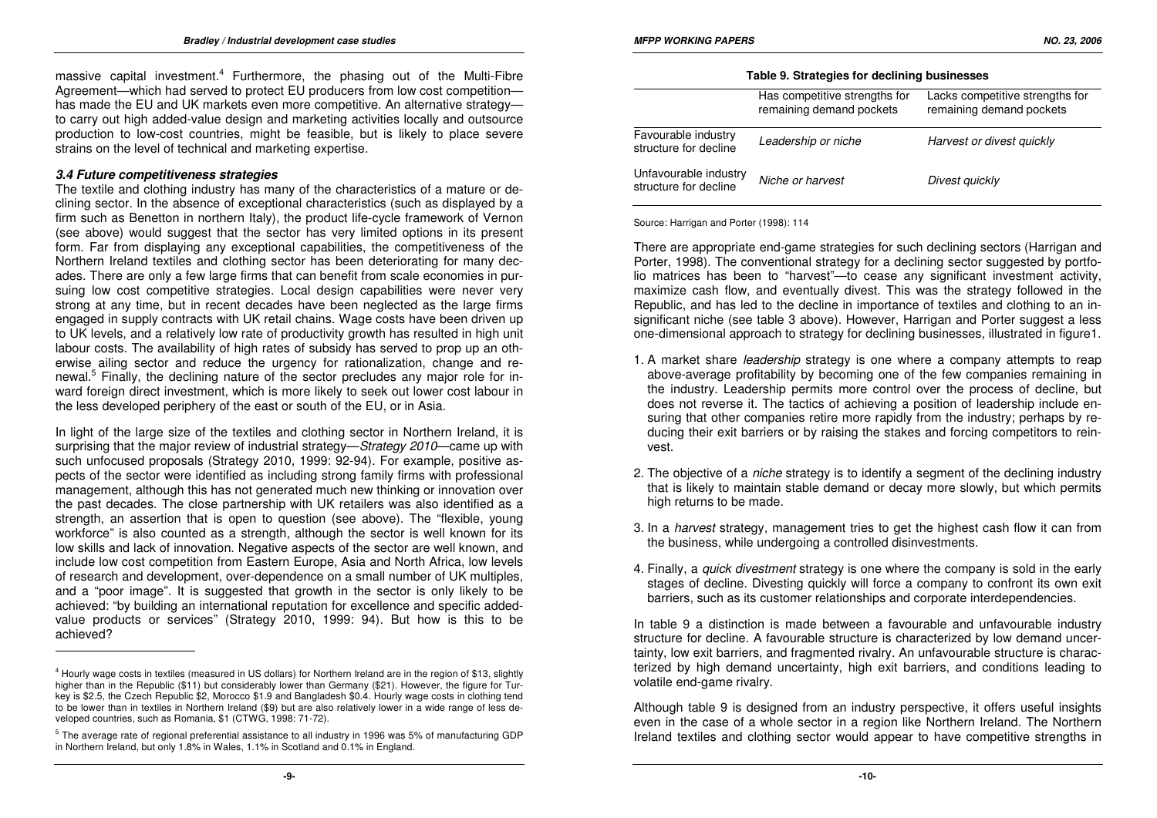massive capital investment.<sup>4</sup> Furthermore, the phasing out of the Multi-Fibre Agreement—which had served to protect EU producers from low cost competition has made the EU and UK markets even more competitive. An alternative strategy to carry out high added-value design and marketing activities locally and outsource production to low-cost countries, might be feasible, but is likely to place severe strains on the level of technical and marketing expertise.

### **3.4 Future competitiveness strategies**

 The textile and clothing industry has many of the characteristics of a mature or declining sector. In the absence of exceptional characteristics (such as displayed by a firm such as Benetton in northern Italy), the product life-cycle framework of Vernon (see above) would suggest that the sector has very limited options in its present form. Far from displaying any exceptional capabilities, the competitiveness of the Northern Ireland textiles and clothing sector has been deteriorating for many decades. There are only a few large firms that can benefit from scale economies in pursuing low cost competitive strategies. Local design capabilities were never very strong at any time, but in recent decades have been neglected as the large firms engaged in supply contracts with UK retail chains. Wage costs have been driven up to UK levels, and a relatively low rate of productivity growth has resulted in high unit labour costs. The availability of high rates of subsidy has served to prop up an otherwise ailing sector and reduce the urgency for rationalization, change and renewal.<sup>5</sup> Finally, the declining nature of the sector precludes any major role for in ward foreign direct investment, which is more likely to seek out lower cost labour in the less developed periphery of the east or south of the EU, or in Asia.

In light of the large size of the textiles and clothing sector in Northern Ireland, it is surprising that the major review of industrial strategy—Strategy 2010—came up with such unfocused proposals (Strategy 2010, 1999: 92-94). For example, positive aspects of the sector were identified as including strong family firms with professional management, although this has not generated much new thinking or innovation over the past decades. The close partnership with UK retailers was also identified as a strength, an assertion that is open to question (see above). The "flexible, young workforce" is also counted as a strength, although the sector is well known for its low skills and lack of innovation. Negative aspects of the sector are well known, and include low cost competition from Eastern Europe, Asia and North Africa, low levels of research and development, over-dependence on a small number of UK multiples, and a "poor image". It is suggested that growth in the sector is only likely to be achieved: "by building an international reputation for excellence and specific addedvalue products or services" (Strategy 2010, 1999: 94). But how is this to be achieved?

|  |  | Table 9. Strategies for declining businesses |
|--|--|----------------------------------------------|
|  |  |                                              |

|                                                | Has competitive strengths for<br>remaining demand pockets | Lacks competitive strengths for<br>remaining demand pockets |
|------------------------------------------------|-----------------------------------------------------------|-------------------------------------------------------------|
| Favourable industry<br>structure for decline   | Leadership or niche                                       | Harvest or divest quickly                                   |
| Unfavourable industry<br>structure for decline | Niche or harvest                                          | Divest quickly                                              |

Source: Harrigan and Porter (1998): 114

There are appropriate end-game strategies for such declining sectors (Harrigan and Porter, 1998). The conventional strategy for a declining sector suggested by portfolio matrices has been to "harvest"—to cease any significant investment activity, maximize cash flow, and eventually divest. This was the strategy followed in the Republic, and has led to the decline in importance of textiles and clothing to an insignificant niche (see table 3 above). However, Harrigan and Porter suggest a less one-dimensional approach to strategy for declining businesses, illustrated in figure1.

- 1. A market share leadership strategy is one where a company attempts to reap above-average profitability by becoming one of the few companies remaining in the industry. Leadership permits more control over the process of decline, but does not reverse it. The tactics of achieving a position of leadership include ensuring that other companies retire more rapidly from the industry; perhaps by reducing their exit barriers or by raising the stakes and forcing competitors to reinvest.
- 2. The objective of a *niche* strategy is to identify a segment of the declining industry that is likely to maintain stable demand or decay more slowly, but which permits high returns to be made.
- 3. In a *harvest* strategy, management tries to get the highest cash flow it can from the business, while undergoing a controlled disinvestments.
- 4. Finally, a quick divestment strategy is one where the company is sold in the early stages of decline. Divesting quickly will force a company to confront its own exit barriers, such as its customer relationships and corporate interdependencies.

In table 9 a distinction is made between a favourable and unfavourable industry structure for decline. A favourable structure is characterized by low demand uncertainty, low exit barriers, and fragmented rivalry. An unfavourable structure is characterized by high demand uncertainty, high exit barriers, and conditions leading to volatile end-game rivalry.

Although table 9 is designed from an industry perspective, it offers useful insights even in the case of a whole sector in a region like Northern Ireland. The Northern Ireland textiles and clothing sector would appear to have competitive strengths in

<sup>4</sup> Hourly wage costs in textiles (measured in US dollars) for Northern Ireland are in the region of \$13, slightly higher than in the Republic (\$11) but considerably lower than Germany (\$21). However, the figure for Turkey is \$2.5, the Czech Republic \$2, Morocco \$1.9 and Bangladesh \$0.4. Hourly wage costs in clothing tend to be lower than in textiles in Northern Ireland (\$9) but are also relatively lower in a wide range of less developed countries, such as Romania, \$1 (CTWG, 1998: 71-72).

<sup>5</sup> The average rate of regional preferential assistance to all industry in 1996 was 5% of manufacturing GDP in Northern Ireland, but only 1.8% in Wales, 1.1% in Scotland and 0.1% in England.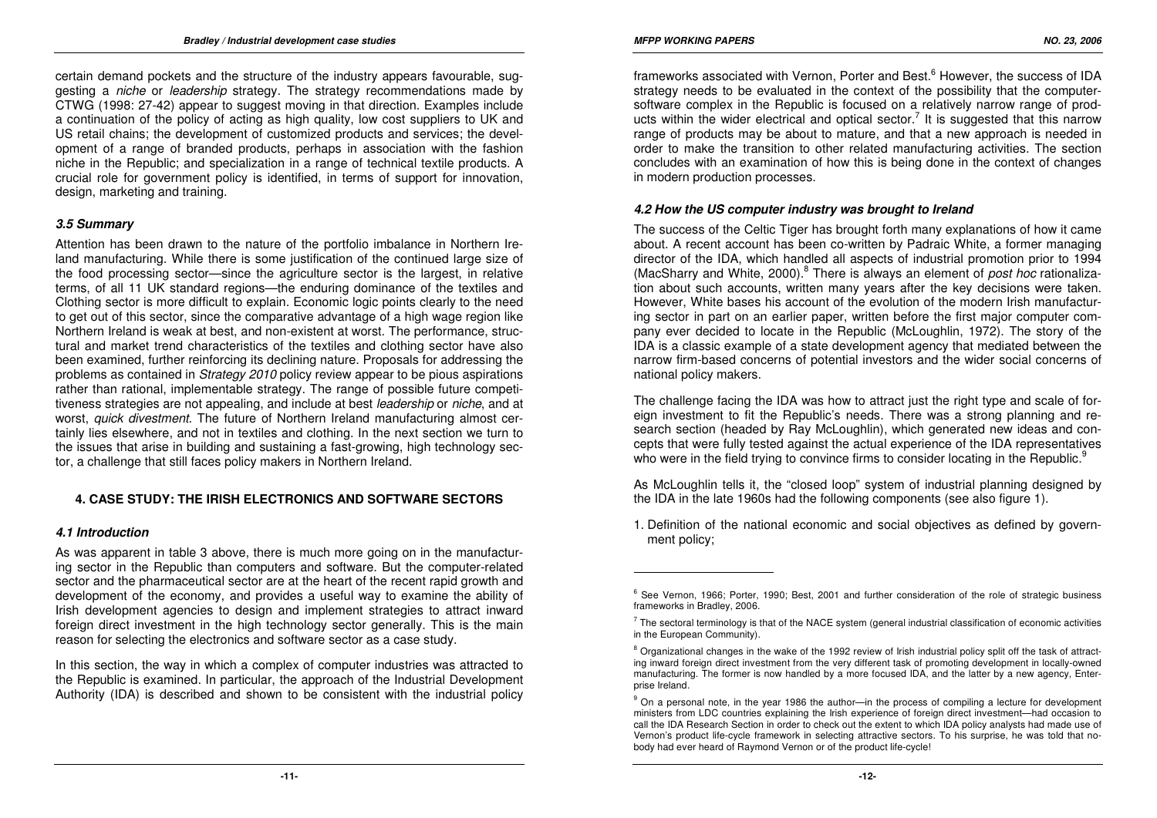certain demand pockets and the structure of the industry appears favourable, suggesting a niche or leadership strategy. The strategy recommendations made by CTWG (1998: 27-42) appear to suggest moving in that direction. Examples include a continuation of the policy of acting as high quality, low cost suppliers to UK and US retail chains; the development of customized products and services; the development of a range of branded products, perhaps in association with the fashion niche in the Republic; and specialization in a range of technical textile products. A crucial role for government policy is identified, in terms of support for innovation, design, marketing and training.

# **3.5 Summary**

Attention has been drawn to the nature of the portfolio imbalance in Northern Ireland manufacturing. While there is some justification of the continued large size of the food processing sector—since the agriculture sector is the largest, in relative terms, of all 11 UK standard regions—the enduring dominance of the textiles and Clothing sector is more difficult to explain. Economic logic points clearly to the need to get out of this sector, since the comparative advantage of a high wage region like Northern Ireland is weak at best, and non-existent at worst. The performance, structural and market trend characteristics of the textiles and clothing sector have also been examined, further reinforcing its declining nature. Proposals for addressing the problems as contained in Strategy 2010 policy review appear to be pious aspirations rather than rational, implementable strategy. The range of possible future competitiveness strategies are not appealing, and include at best *leadership* or *niche*, and at worst, quick divestment. The future of Northern Ireland manufacturing almost certainly lies elsewhere, and not in textiles and clothing. In the next section we turn to the issues that arise in building and sustaining a fast-growing, high technology sector, a challenge that still faces policy makers in Northern Ireland.

# **4. CASE STUDY: THE IRISH ELECTRONICS AND SOFTWARE SECTORS**

#### **4.1 Introduction**

As was apparent in table 3 above, there is much more going on in the manufacturing sector in the Republic than computers and software. But the computer-related sector and the pharmaceutical sector are at the heart of the recent rapid growth and development of the economy, and provides a useful way to examine the ability of Irish development agencies to design and implement strategies to attract inward foreign direct investment in the high technology sector generally. This is the main reason for selecting the electronics and software sector as a case study.

In this section, the way in which a complex of computer industries was attracted to the Republic is examined. In particular, the approach of the Industrial Development Authority (IDA) is described and shown to be consistent with the industrial policy

frameworks associated with Vernon, Porter and Best.<sup>6</sup> However, the success of IDA strategy needs to be evaluated in the context of the possibility that the computersoftware complex in the Republic is focused on a relatively narrow range of products within the wider electrical and optical sector.<sup>7</sup> It is suggested that this narrow range of products may be about to mature, and that a new approach is needed in order to make the transition to other related manufacturing activities. The section concludes with an examination of how this is being done in the context of changes in modern production processes.

### **4.2 How the US computer industry was brought to Ireland**

The success of the Celtic Tiger has brought forth many explanations of how it came about. A recent account has been co-written by Padraic White, a former managing director of the IDA, which handled all aspects of industrial promotion prior to 1994 (MacSharry and White, 2000).<sup>8</sup> There is always an element of *post hoc* rationaliza tion about such accounts, written many years after the key decisions were taken. However, White bases his account of the evolution of the modern Irish manufacturing sector in part on an earlier paper, written before the first major computer company ever decided to locate in the Republic (McLoughlin, 1972). The story of the IDA is a classic example of a state development agency that mediated between the narrow firm-based concerns of potential investors and the wider social concerns of national policy makers.

The challenge facing the IDA was how to attract just the right type and scale of foreign investment to fit the Republic's needs. There was a strong planning and research section (headed by Ray McLoughlin), which generated new ideas and concepts that were fully tested against the actual experience of the IDA representatives who were in the field trying to convince firms to consider locating in the Republic.<sup>9</sup>

As McLoughlin tells it, the "closed loop" system of industrial planning designed by the IDA in the late 1960s had the following components (see also figure 1).

1. Definition of the national economic and social objectives as defined by government policy;

<sup>&</sup>lt;sup>6</sup> See Vernon, 1966; Porter, 1990; Best, 2001 and further consideration of the role of strategic business frameworks in Bradley, 2006.

 $^7$  The sectoral terminology is that of the NACE system (general industrial classification of economic activities in the European Community).

<sup>&</sup>lt;sup>8</sup> Organizational changes in the wake of the 1992 review of Irish industrial policy split off the task of attracting inward foreign direct investment from the very different task of promoting development in locally-owned manufacturing. The former is now handled by a more focused IDA, and the latter by a new agency, Enterprise Ireland.

<sup>&</sup>lt;sup>9</sup> On a personal note, in the year 1986 the author—in the process of compiling a lecture for development ministers from LDC countries explaining the Irish experience of foreign direct investment—had occasion to call the IDA Research Section in order to check out the extent to which IDA policy analysts had made use of Vernon's product life-cycle framework in selecting attractive sectors. To his surprise, he was told that nobody had ever heard of Raymond Vernon or of the product life-cycle!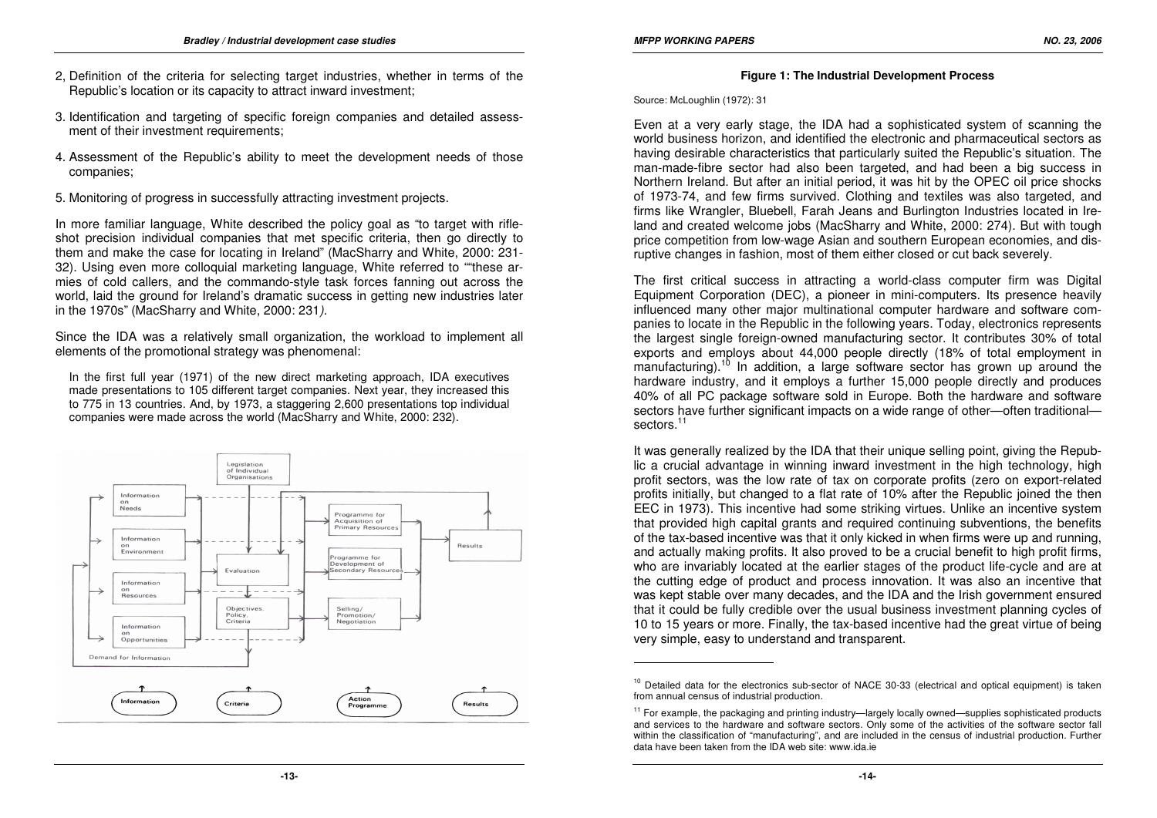- 2, Definition of the criteria for selecting target industries, whether in terms of the Republic's location or its capacity to attract inward investment;
- 3. Identification and targeting of specific foreign companies and detailed assessment of their investment requirements;
- 4. Assessment of the Republic's ability to meet the development needs of those companies;
- 5. Monitoring of progress in successfully attracting investment projects.

In more familiar language, White described the policy goal as "to target with rifleshot precision individual companies that met specific criteria, then go directly to them and make the case for locating in Ireland" (MacSharry and White, 2000: 231- 32). Using even more colloquial marketing language, White referred to ""these armies of cold callers, and the commando-style task forces fanning out across the world, laid the ground for Ireland's dramatic success in getting new industries later in the 1970s" (MacSharry and White, 2000: 231).

Since the IDA was a relatively small organization, the workload to implement all elements of the promotional strategy was phenomenal:

In the first full year (1971) of the new direct marketing approach, IDA executives made presentations to 105 different target companies. Next year, they increased this to 775 in 13 countries. And, by 1973, a staggering 2,600 presentations top individual companies were made across the world (MacSharry and White, 2000: 232).



#### **Figure 1: The Industrial Development Process**

Source: McLoughlin (1972): 31

Even at a very early stage, the IDA had a sophisticated system of scanning the world business horizon, and identified the electronic and pharmaceutical sectors as having desirable characteristics that particularly suited the Republic's situation. The man-made-fibre sector had also been targeted, and had been a big success in Northern Ireland. But after an initial period, it was hit by the OPEC oil price shocks of 1973-74, and few firms survived. Clothing and textiles was also targeted, and firms like Wrangler, Bluebell, Farah Jeans and Burlington Industries located in Ireland and created welcome jobs (MacSharry and White, 2000: 274). But with tough price competition from low-wage Asian and southern European economies, and disruptive changes in fashion, most of them either closed or cut back severely.

The first critical success in attracting a world-class computer firm was Digital Equipment Corporation (DEC), a pioneer in mini-computers. Its presence heavily influenced many other major multinational computer hardware and software companies to locate in the Republic in the following years. Today, electronics represents the largest single foreign-owned manufacturing sector. It contributes 30% of total exports and employs about 44,000 people directly (18% of total employment in manufacturing).<sup>10</sup> In addition, a large software sector has grown up around the hardware industry, and it employs a further 15,000 people directly and produces 40% of all PC package software sold in Europe. Both the hardware and software sectors have further significant impacts on a wide range of other—often traditionalsectors.<sup>11</sup>

It was generally realized by the IDA that their unique selling point, giving the Republic a crucial advantage in winning inward investment in the high technology, high profit sectors, was the low rate of tax on corporate profits (zero on export-related profits initially, but changed to a flat rate of 10% after the Republic joined the then EEC in 1973). This incentive had some striking virtues. Unlike an incentive system that provided high capital grants and required continuing subventions, the benefits of the tax-based incentive was that it only kicked in when firms were up and running, and actually making profits. It also proved to be a crucial benefit to high profit firms, who are invariably located at the earlier stages of the product life-cycle and are at the cutting edge of product and process innovation. It was also an incentive that was kept stable over many decades, and the IDA and the Irish government ensured that it could be fully credible over the usual business investment planning cycles of 10 to 15 years or more. Finally, the tax-based incentive had the great virtue of being very simple, easy to understand and transparent.

<sup>&</sup>lt;sup>10</sup> Detailed data for the electronics sub-sector of NACE 30-33 (electrical and optical equipment) is taken from annual census of industrial production.

<sup>&</sup>lt;sup>11</sup> For example, the packaging and printing industry—largely locally owned—supplies sophisticated products and services to the hardware and software sectors. Only some of the activities of the software sector fall within the classification of "manufacturing", and are included in the census of industrial production. Further data have been taken from the IDA web site: www.ida.ie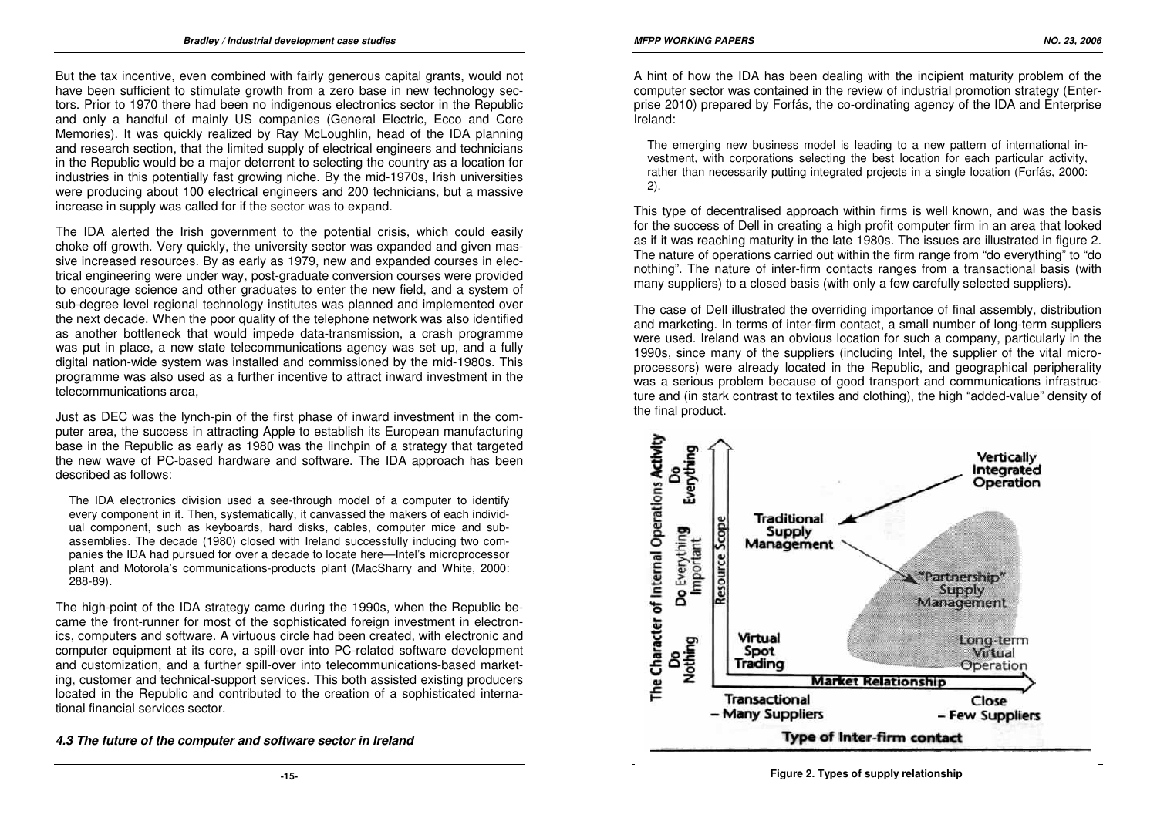But the tax incentive, even combined with fairly generous capital grants, would not have been sufficient to stimulate growth from a zero base in new technology sectors. Prior to 1970 there had been no indigenous electronics sector in the Republic and only a handful of mainly US companies (General Electric, Ecco and Core Memories). It was quickly realized by Ray McLoughlin, head of the IDA planning and research section, that the limited supply of electrical engineers and technicians in the Republic would be a major deterrent to selecting the country as a location for industries in this potentially fast growing niche. By the mid-1970s, Irish universities were producing about 100 electrical engineers and 200 technicians, but a massive increase in supply was called for if the sector was to expand.

The IDA alerted the Irish government to the potential crisis, which could easily choke off growth. Very quickly, the university sector was expanded and given massive increased resources. By as early as 1979, new and expanded courses in electrical engineering were under way, post-graduate conversion courses were provided to encourage science and other graduates to enter the new field, and a system of sub-degree level regional technology institutes was planned and implemented over the next decade. When the poor quality of the telephone network was also identified as another bottleneck that would impede data-transmission, a crash programme was put in place, a new state telecommunications agency was set up, and a fully digital nation-wide system was installed and commissioned by the mid-1980s. This programme was also used as a further incentive to attract inward investment in the telecommunications area,

Just as DEC was the lynch-pin of the first phase of inward investment in the computer area, the success in attracting Apple to establish its European manufacturing base in the Republic as early as 1980 was the linchpin of a strategy that targeted the new wave of PC-based hardware and software. The IDA approach has been described as follows:

The IDA electronics division used a see-through model of a computer to identify every component in it. Then, systematically, it canvassed the makers of each individual component, such as keyboards, hard disks, cables, computer mice and subassemblies. The decade (1980) closed with Ireland successfully inducing two companies the IDA had pursued for over a decade to locate here—Intel's microprocessor plant and Motorola's communications-products plant (MacSharry and White, 2000: 288-89).

The high-point of the IDA strategy came during the 1990s, when the Republic became the front-runner for most of the sophisticated foreign investment in electronics, computers and software. A virtuous circle had been created, with electronic and computer equipment at its core, a spill-over into PC-related software development and customization, and a further spill-over into telecommunications-based marketing, customer and technical-support services. This both assisted existing producers located in the Republic and contributed to the creation of a sophisticated international financial services sector.

**4.3 The future of the computer and software sector in Ireland** 

Ireland:

The emerging new business model is leading to a new pattern of international investment, with corporations selecting the best location for each particular activity, rather than necessarily putting integrated projects in a single location (Forfás, 2000: 2).

This type of decentralised approach within firms is well known, and was the basis for the success of Dell in creating a high profit computer firm in an area that looked as if it was reaching maturity in the late 1980s. The issues are illustrated in figure 2. The nature of operations carried out within the firm range from "do everything" to "do nothing". The nature of inter-firm contacts ranges from a transactional basis (with many suppliers) to a closed basis (with only a few carefully selected suppliers).

The case of Dell illustrated the overriding importance of final assembly, distribution and marketing. In terms of inter-firm contact, a small number of long-term suppliers were used. Ireland was an obvious location for such a company, particularly in the 1990s, since many of the suppliers (including Intel, the supplier of the vital microprocessors) were already located in the Republic, and geographical peripherality was a serious problem because of good transport and communications infrastructure and (in stark contrast to textiles and clothing), the high "added-value" density of the final product.

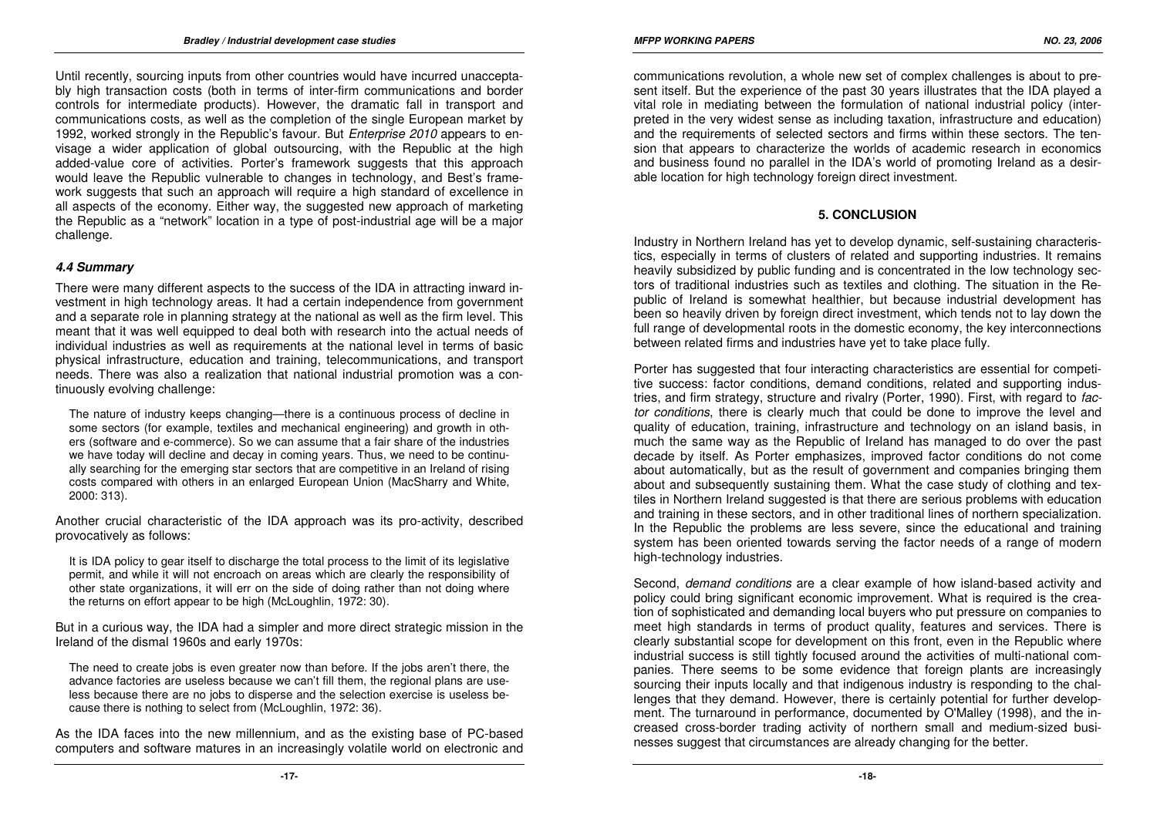Until recently, sourcing inputs from other countries would have incurred unacceptably high transaction costs (both in terms of inter-firm communications and border controls for intermediate products). However, the dramatic fall in transport and communications costs, as well as the completion of the single European market by 1992, worked strongly in the Republic's favour. But Enterprise 2010 appears to envisage a wider application of global outsourcing, with the Republic at the high added-value core of activities. Porter's framework suggests that this approach would leave the Republic vulnerable to changes in technology, and Best's framework suggests that such an approach will require a high standard of excellence in all aspects of the economy. Either way, the suggested new approach of marketing the Republic as a "network" location in a type of post-industrial age will be a major challenge.

# **4.4 Summary**

There were many different aspects to the success of the IDA in attracting inward investment in high technology areas. It had a certain independence from government and a separate role in planning strategy at the national as well as the firm level. This meant that it was well equipped to deal both with research into the actual needs of individual industries as well as requirements at the national level in terms of basic physical infrastructure, education and training, telecommunications, and transport needs. There was also a realization that national industrial promotion was a continuously evolving challenge:

The nature of industry keeps changing—there is a continuous process of decline in some sectors (for example, textiles and mechanical engineering) and growth in others (software and e-commerce). So we can assume that a fair share of the industries we have today will decline and decay in coming years. Thus, we need to be continually searching for the emerging star sectors that are competitive in an Ireland of rising costs compared with others in an enlarged European Union (MacSharry and White, 2000: 313).

Another crucial characteristic of the IDA approach was its pro-activity, described provocatively as follows:

It is IDA policy to gear itself to discharge the total process to the limit of its legislative permit, and while it will not encroach on areas which are clearly the responsibility of other state organizations, it will err on the side of doing rather than not doing where the returns on effort appear to be high (McLoughlin, 1972: 30).

But in a curious way, the IDA had a simpler and more direct strategic mission in the Ireland of the dismal 1960s and early 1970s:

The need to create jobs is even greater now than before. If the jobs aren't there, the advance factories are useless because we can't fill them, the regional plans are useless because there are no jobs to disperse and the selection exercise is useless because there is nothing to select from (McLoughlin, 1972: 36).

As the IDA faces into the new millennium, and as the existing base of PC-based computers and software matures in an increasingly volatile world on electronic and communications revolution, a whole new set of complex challenges is about to present itself. But the experience of the past 30 years illustrates that the IDA played a vital role in mediating between the formulation of national industrial policy (interpreted in the very widest sense as including taxation, infrastructure and education) and the requirements of selected sectors and firms within these sectors. The tension that appears to characterize the worlds of academic research in economics and business found no parallel in the IDA's world of promoting Ireland as a desirable location for high technology foreign direct investment.

# **5. CONCLUSION**

Industry in Northern Ireland has yet to develop dynamic, self-sustaining characteristics, especially in terms of clusters of related and supporting industries. It remains heavily subsidized by public funding and is concentrated in the low technology sectors of traditional industries such as textiles and clothing. The situation in the Republic of Ireland is somewhat healthier, but because industrial development has been so heavily driven by foreign direct investment, which tends not to lay down the full range of developmental roots in the domestic economy, the key interconnections between related firms and industries have yet to take place fully.

Porter has suggested that four interacting characteristics are essential for competitive success: factor conditions, demand conditions, related and supporting industries, and firm strategy, structure and rivalry (Porter, 1990). First, with regard to factor conditions, there is clearly much that could be done to improve the level and quality of education, training, infrastructure and technology on an island basis, in much the same way as the Republic of Ireland has managed to do over the past decade by itself. As Porter emphasizes, improved factor conditions do not come about automatically, but as the result of government and companies bringing them about and subsequently sustaining them. What the case study of clothing and textiles in Northern Ireland suggested is that there are serious problems with education and training in these sectors, and in other traditional lines of northern specialization. In the Republic the problems are less severe, since the educational and training system has been oriented towards serving the factor needs of a range of modern high-technology industries.

Second, demand conditions are a clear example of how island-based activity and policy could bring significant economic improvement. What is required is the creation of sophisticated and demanding local buyers who put pressure on companies to meet high standards in terms of product quality, features and services. There is clearly substantial scope for development on this front, even in the Republic where industrial success is still tightly focused around the activities of multi-national companies. There seems to be some evidence that foreign plants are increasingly sourcing their inputs locally and that indigenous industry is responding to the challenges that they demand. However, there is certainly potential for further development. The turnaround in performance, documented by O'Malley (1998), and the increased cross-border trading activity of northern small and medium-sized businesses suggest that circumstances are already changing for the better.